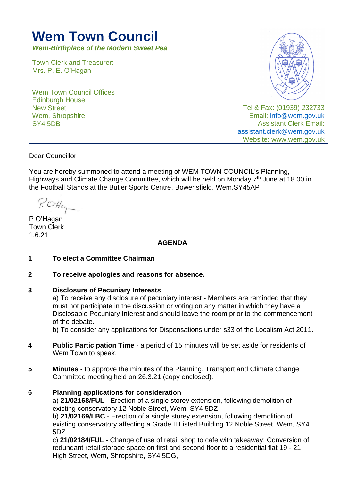# **Wem Town Council**

*Wem-Birthplace of the Modern Sweet Pea*

Town Clerk and Treasurer: Mrs. P. E. O'Hagan

Wem Town Council Offices Edinburgh House New Street Wem, Shropshire SY4 5DB



Tel & Fax: (01939) 232733 Email: [info@wem.gov.uk](mailto:info@wem.gov.uk) Assistant Clerk Email: [assistant.clerk@wem.gov.uk](mailto:assistant.clerk@wem.gov.uk) Website: www.wem.gov.uk

Dear Councillor

You are hereby summoned to attend a meeting of WEM TOWN COUNCIL's Planning, Highways and Climate Change Committee, which will be held on Monday 7<sup>th</sup> June at 18.00 in the Football Stands at the Butler Sports Centre, Bowensfield, Wem,SY45AP

 $P. O H_{aq} -$ 

P O'Hagan Town Clerk 1.6.21

## **AGENDA**

**1 To elect a Committee Chairman**

## **2 To receive apologies and reasons for absence.**

#### **3 Disclosure of Pecuniary Interests**

a) To receive any disclosure of pecuniary interest - Members are reminded that they must not participate in the discussion or voting on any matter in which they have a Disclosable Pecuniary Interest and should leave the room prior to the commencement of the debate.

b) To consider any applications for Dispensations under s33 of the Localism Act 2011.

- **4 Public Participation Time** a period of 15 minutes will be set aside for residents of Wem Town to speak.
- **5 Minutes** to approve the minutes of the Planning, Transport and Climate Change Committee meeting held on 26.3.21 (copy enclosed).

## **6 Planning applications for consideration**

a) **21/02168/FUL** - Erection of a single storey extension, following demolition of existing conservatory 12 Noble Street, Wem, SY4 5DZ

b) **21/02169/LBC** - Erection of a single storey extension, following demolition of existing conservatory affecting a Grade II Listed Building 12 Noble Street, Wem, SY4 5DZ

c) **21/02184/FUL** - Change of use of retail shop to cafe with takeaway; Conversion of redundant retail storage space on first and second floor to a residential flat 19 - 21 High Street, Wem, Shropshire, SY4 5DG,